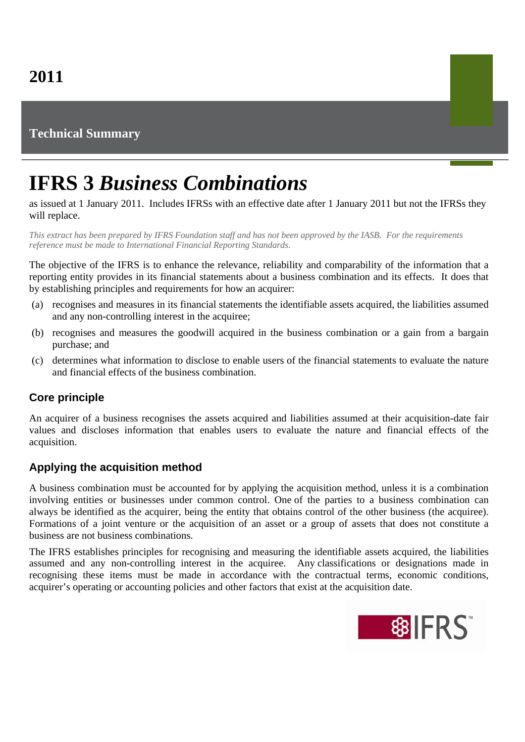## **Technical Summary**

# **IFRS 3** *Business Combinations*

as issued at 1 January 2011. Includes IFRSs with an effective date after 1 January 2011 but not the IFRSs they will replace.

*This extract has been prepared by IFRS Foundation staff and has not been approved by the IASB. For the requirements reference must be made to International Financial Reporting Standards.*

The objective of the IFRS is to enhance the relevance, reliability and comparability of the information that a reporting entity provides in its financial statements about a business combination and its effects. It does that by establishing principles and requirements for how an acquirer:

- (a) recognises and measures in its financial statements the identifiable assets acquired, the liabilities assumed and any non-controlling interest in the acquiree;
- (b) recognises and measures the goodwill acquired in the business combination or a gain from a bargain purchase; and
- (c) determines what information to disclose to enable users of the financial statements to evaluate the nature and financial effects of the business combination.

### **Core principle**

An acquirer of a business recognises the assets acquired and liabilities assumed at their acquisition-date fair values and discloses information that enables users to evaluate the nature and financial effects of the acquisition.

### **Applying the acquisition method**

A business combination must be accounted for by applying the acquisition method, unless it is a combination involving entities or businesses under common control. One of the parties to a business combination can always be identified as the acquirer, being the entity that obtains control of the other business (the acquiree). Formations of a joint venture or the acquisition of an asset or a group of assets that does not constitute a business are not business combinations.

The IFRS establishes principles for recognising and measuring the identifiable assets acquired, the liabilities assumed and any non-controlling interest in the acquiree. Any classifications or designations made in recognising these items must be made in accordance with the contractual terms, economic conditions, acquirer's operating or accounting policies and other factors that exist at the acquisition date.